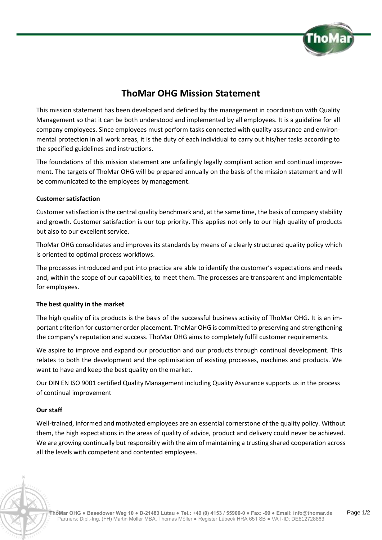

# **ThoMar OHG Mission Statement**

This mission statement has been developed and defined by the management in coordination with Quality Management so that it can be both understood and implemented by all employees. It is a guideline for all company employees. Since employees must perform tasks connected with quality assurance and environmental protection in all work areas, it is the duty of each individual to carry out his/her tasks according to the specified guidelines and instructions.

The foundations of this mission statement are unfailingly legally compliant action and continual improvement. The targets of ThoMar OHG will be prepared annually on the basis of the mission statement and will be communicated to the employees by management.

# **Customer satisfaction**

Customer satisfaction is the central quality benchmark and, at the same time, the basis of company stability and growth. Customer satisfaction is our top priority. This applies not only to our high quality of products but also to our excellent service.

ThoMar OHG consolidates and improves its standards by means of a clearly structured quality policy which is oriented to optimal process workflows.

The processes introduced and put into practice are able to identify the customer's expectations and needs and, within the scope of our capabilities, to meet them. The processes are transparent and implementable for employees.

## **The best quality in the market**

The high quality of its products is the basis of the successful business activity of ThoMar OHG. It is an important criterion for customer order placement. ThoMar OHG is committed to preserving and strengthening the company's reputation and success. ThoMar OHG aims to completely fulfil customer requirements.

We aspire to improve and expand our production and our products through continual development. This relates to both the development and the optimisation of existing processes, machines and products. We want to have and keep the best quality on the market.

Our DIN EN ISO 9001 certified Quality Management including Quality Assurance supports us in the process of continual improvement

## **Our staff**

Well-trained, informed and motivated employees are an essential cornerstone of the quality policy. Without them, the high expectations in the areas of quality of advice, product and delivery could never be achieved. We are growing continually but responsibly with the aim of maintaining a trusting shared cooperation across all the levels with competent and contented employees.